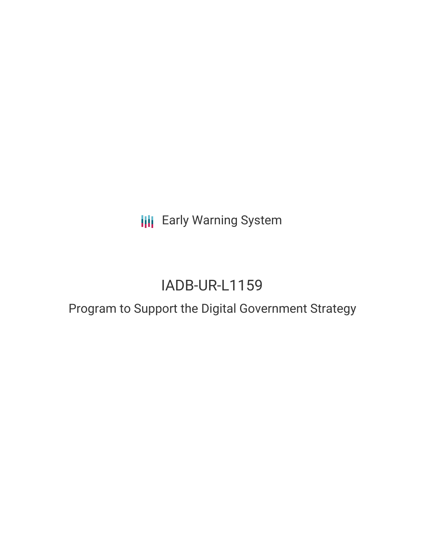**III** Early Warning System

# IADB-UR-L1159

## Program to Support the Digital Government Strategy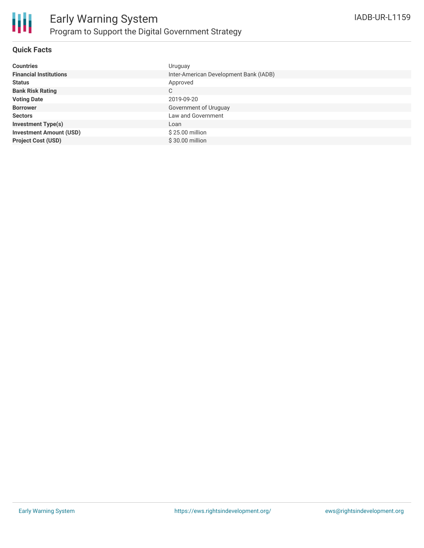

#### **Quick Facts**

| <b>Countries</b>               | Uruguay                                |
|--------------------------------|----------------------------------------|
| <b>Financial Institutions</b>  | Inter-American Development Bank (IADB) |
| <b>Status</b>                  | Approved                               |
| <b>Bank Risk Rating</b>        | C                                      |
| <b>Voting Date</b>             | 2019-09-20                             |
| <b>Borrower</b>                | Government of Uruguay                  |
| <b>Sectors</b>                 | Law and Government                     |
| <b>Investment Type(s)</b>      | Loan                                   |
| <b>Investment Amount (USD)</b> | $$25.00$ million                       |
| <b>Project Cost (USD)</b>      | $$30.00$ million                       |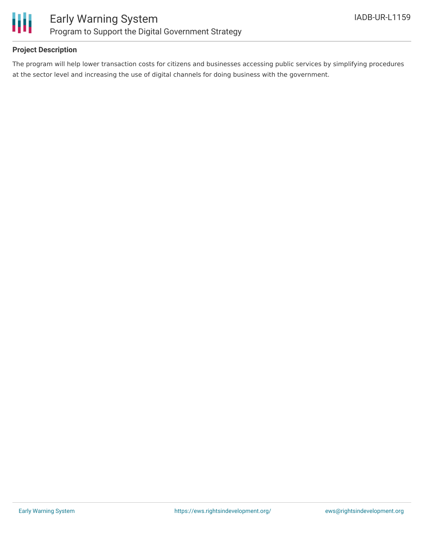

#### **Project Description**

The program will help lower transaction costs for citizens and businesses accessing public services by simplifying procedures at the sector level and increasing the use of digital channels for doing business with the government.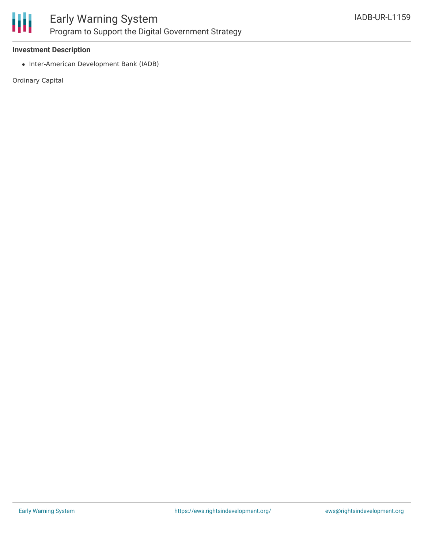

#### **Investment Description**

• Inter-American Development Bank (IADB)

Ordinary Capital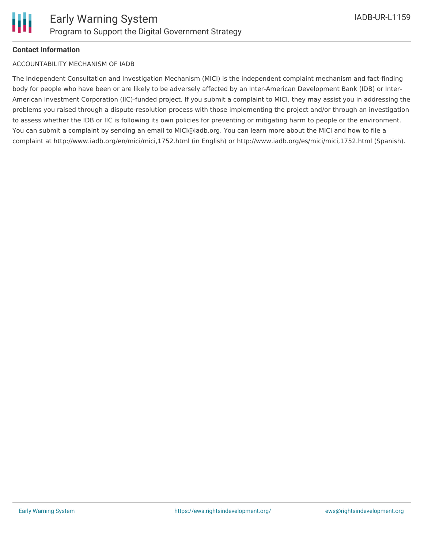#### **Contact Information**

#### ACCOUNTABILITY MECHANISM OF IADB

The Independent Consultation and Investigation Mechanism (MICI) is the independent complaint mechanism and fact-finding body for people who have been or are likely to be adversely affected by an Inter-American Development Bank (IDB) or Inter-American Investment Corporation (IIC)-funded project. If you submit a complaint to MICI, they may assist you in addressing the problems you raised through a dispute-resolution process with those implementing the project and/or through an investigation to assess whether the IDB or IIC is following its own policies for preventing or mitigating harm to people or the environment. You can submit a complaint by sending an email to MICI@iadb.org. You can learn more about the MICI and how to file a complaint at http://www.iadb.org/en/mici/mici,1752.html (in English) or http://www.iadb.org/es/mici/mici,1752.html (Spanish).